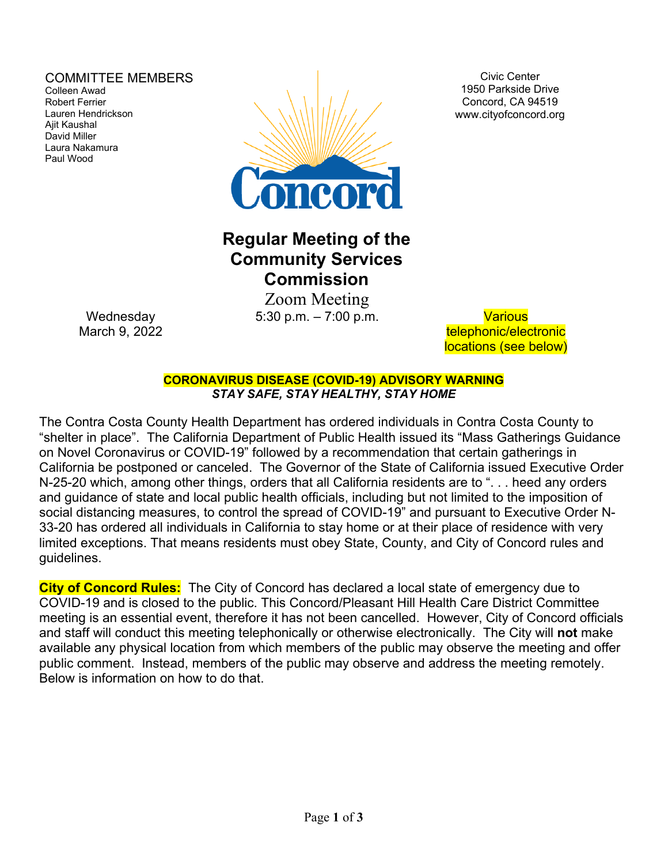### COMMITTEE MEMBERS

Colleen Awad Robert Ferrier Lauren Hendrickson Ajit Kaushal David Miller Laura Nakamura Paul Wood



Civic Center 1950 Parkside Drive Concord, CA 94519 www.cityofconcord.org

# **Regular Meeting of the Community Services Commission**

 Zoom Meeting 5:30 p.m. – 7:00 p.m. Various

telephonic/electronic locations (see below)

**CORONAVIRUS DISEASE (COVID-19) ADVISORY WARNING** *STAY SAFE, STAY HEALTHY, STAY HOME*

The Contra Costa County Health Department has ordered individuals in Contra Costa County to "shelter in place". The California Department of Public Health issued its "Mass Gatherings Guidance on Novel Coronavirus or COVID-19" followed by a recommendation that certain gatherings in California be postponed or canceled. The Governor of the State of California issued Executive Order N-25-20 which, among other things, orders that all California residents are to ". . . heed any orders and guidance of state and local public health officials, including but not limited to the imposition of social distancing measures, to control the spread of COVID-19" and pursuant to Executive Order N-33-20 has ordered all individuals in California to stay home or at their place of residence with very limited exceptions. That means residents must obey State, County, and City of Concord rules and guidelines.

**City of Concord Rules:** The City of Concord has declared a local state of emergency due to COVID-19 and is closed to the public. This Concord/Pleasant Hill Health Care District Committee meeting is an essential event, therefore it has not been cancelled. However, City of Concord officials and staff will conduct this meeting telephonically or otherwise electronically. The City will **not** make available any physical location from which members of the public may observe the meeting and offer public comment. Instead, members of the public may observe and address the meeting remotely. Below is information on how to do that.

**Wednesday** March 9, 2022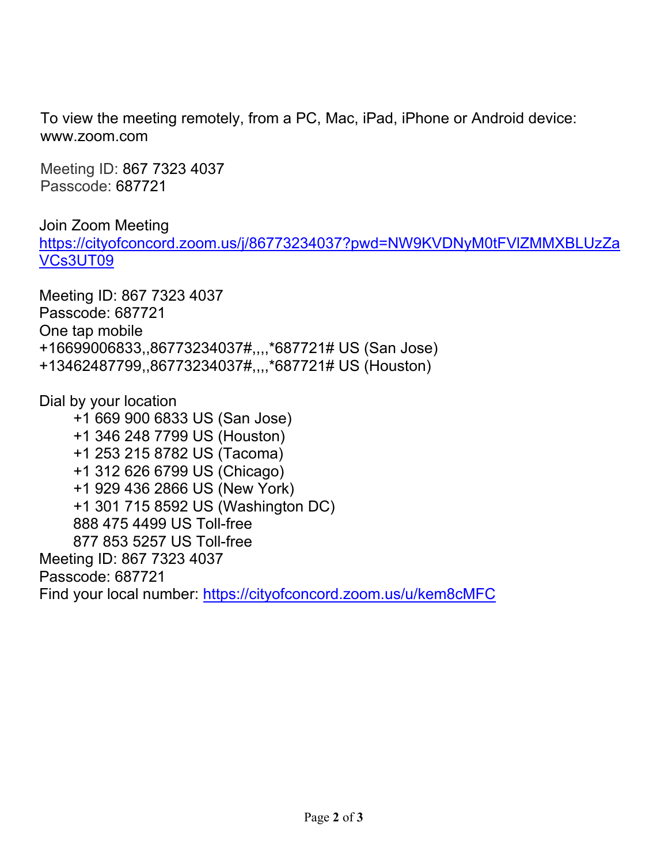To view the meeting remotely, from a PC, Mac, iPad, iPhone or Android device: www.zoom.com

Meeting ID: 867 7323 4037 Passcode: 687721

Join Zoom Meeting [https://cityofconcord.zoom.us/j/86773234037?pwd=NW9KVDNyM0tFVlZMMXBLUzZa](https://cityofconcord.zoom.us/j/86773234037?pwd=NW9KVDNyM0tFVlZMMXBLUzZaVCs3UT09) [VCs3UT09](https://cityofconcord.zoom.us/j/86773234037?pwd=NW9KVDNyM0tFVlZMMXBLUzZaVCs3UT09)

Meeting ID: 867 7323 4037 Passcode: 687721 One tap mobile +16699006833,,86773234037#,,,,\*687721# US (San Jose) +13462487799,,86773234037#,,,,\*687721# US (Houston)

Dial by your location +1 669 900 6833 US (San Jose) +1 346 248 7799 US (Houston) +1 253 215 8782 US (Tacoma) +1 312 626 6799 US (Chicago) +1 929 436 2866 US (New York) +1 301 715 8592 US (Washington DC) 888 475 4499 US Toll-free 877 853 5257 US Toll-free Meeting ID: 867 7323 4037 Passcode: 687721 Find your local number:<https://cityofconcord.zoom.us/u/kem8cMFC>